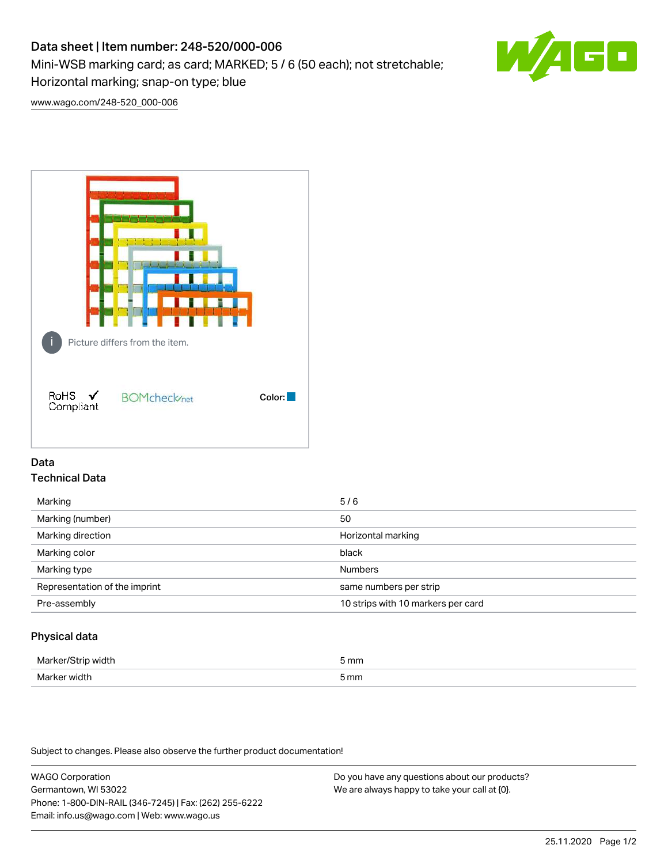# Data sheet | Item number: 248-520/000-006

Mini-WSB marking card; as card; MARKED; 5 / 6 (50 each); not stretchable;

Horizontal marking; snap-on type; blue

[www.wago.com/248-520\\_000-006](http://www.wago.com/248-520_000-006)



## Data Technical Data

| Marking                       | 5/6                                |
|-------------------------------|------------------------------------|
| Marking (number)              | 50                                 |
| Marking direction             | Horizontal marking                 |
| Marking color                 | black                              |
| Marking type                  | <b>Numbers</b>                     |
| Representation of the imprint | same numbers per strip             |
| Pre-assembly                  | 10 strips with 10 markers per card |
|                               |                                    |

## Physical data

| Marker<br>width<br>ш | 5 mm |
|----------------------|------|
| Marker width         | 5 mm |

Subject to changes. Please also observe the further product documentation!

WAGO Corporation Germantown, WI 53022 Phone: 1-800-DIN-RAIL (346-7245) | Fax: (262) 255-6222 Email: info.us@wago.com | Web: www.wago.us

Do you have any questions about our products? We are always happy to take your call at {0}.